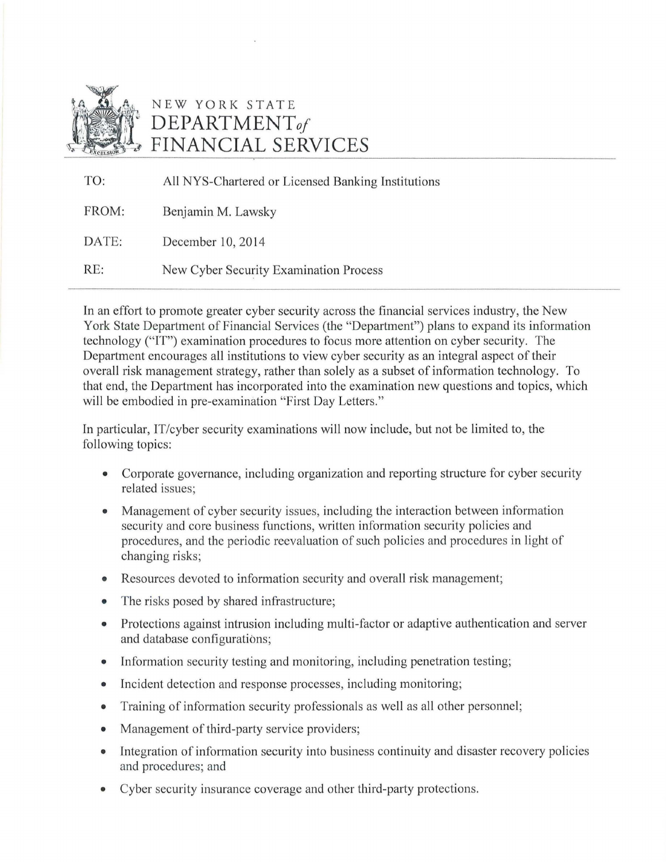

## NEW YORK STATE **DEPARTMENT***of*  **FINANCIAL SERVICES**

| TO:   | All NYS-Chartered or Licensed Banking Institutions |
|-------|----------------------------------------------------|
| FROM: | Benjamin M. Lawsky                                 |
| DATE: | December 10, 2014                                  |
| RE:   | New Cyber Security Examination Process             |

In an effort to promote greater cyber security across the financial services industry, the New York State Department of Financial Services (the "Department") plans to expand its information technology ("IT") examination procedures to focus more attention on cyber security. The Department encourages all institutions to view cyber security as an integral aspect of their overall risk management strategy, rather than solely as a subset of information technology. To that end, the Department has incorporated into the examination new questions and topics, which will be embodied in pre-examination "First Day Letters."

In particular, IT/cyber security examinations will now include, but not be limited to, the following topics:

- Corporate governance, including organization and reporting structure for cyber security related issues;
- Management of cyber security issues, including the interaction between information security and core business functions, written information security policies and procedures, and the periodic reevaluation of such policies and procedures in light of changing risks;
- Resources devoted to information security and overall risk management;
- The risks posed by shared infrastructure;
- Protections against intrusion including multi-factor or adaptive authentication and server and database configurations;
- Information security testing and monitoring, including penetration testing;
- Incident detection and response processes, including monitoring;
- Training of information security professionals as well as all other personnel;
- Management of third-party service providers;
- Integration of information security into business continuity and disaster recovery policies and procedures; and
- Cyber security insurance coverage and other third-party protections.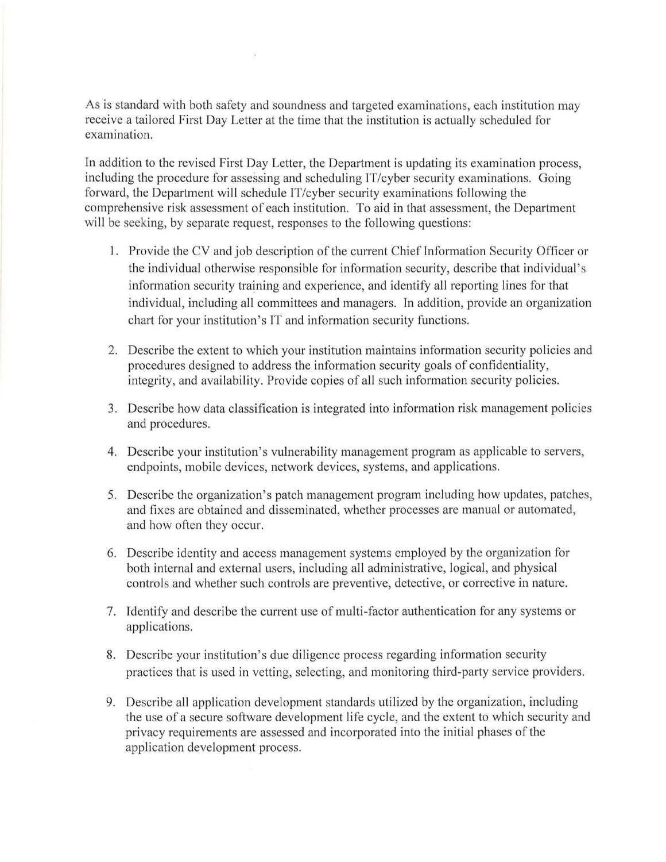As is standard with both safety and soundness and targeted examinations, each institution may receive a tailored First Day Letter at the time that the institution is actually scheduled for examination.

In addition to the revised First Day Letter, the Department is updating its examination process, including the procedure for assessing and scheduling IT/cyber security examinations. Going forward, the Department will schedule IT/cyber security examinations following the comprehensive risk assessment of each institution. To aid in that assessment, the Department will be seeking, by separate request, responses to the following questions:

- 1. Provide the CV and job description of the current Chief Information Security Officer or the individual otherwise responsible for information security, describe that individual's information security training and experience, and identify all reporting lines for that individual, including all committees and managers. In addition, provide an organization chart for your institution's IT and information security functions.
- 2. Describe the extent to which your institution maintains information security policies and procedures designed to address the information security goals of confidentiality, integrity, and availability. Provide copies of all such information security policies.
- 3. Describe how data classification is integrated into information risk management policies and procedures.
- 4. Describe your institution's vulnerability management program as applicable to servers, endpoints, mobile devices, network devices, systems, and applications.
- 5. Describe the organization's patch management program including how updates, patches, and fixes are obtained and disseminated, whether processes are manual or automated, and how often they occur.
- 6. Describe identity and access management systems employed by the organization for both internal and external users, including all administrative, logical, and physical controls and whether such controls are preventive, detective, or corrective in nature.
- 7. Identify and describe the current use of multi-factor authentication for any systems or applications.
- 8. Describe your institution's due diligence process regarding information security practices that is used in vetting, selecting, and monitoring third-party service providers.
- 9. Describe all application development standards utilized by the organization, including the use of a secure software development life cycle, and the extent to which security and privacy requirements are assessed and incorporated into the initial phases of the application development process.